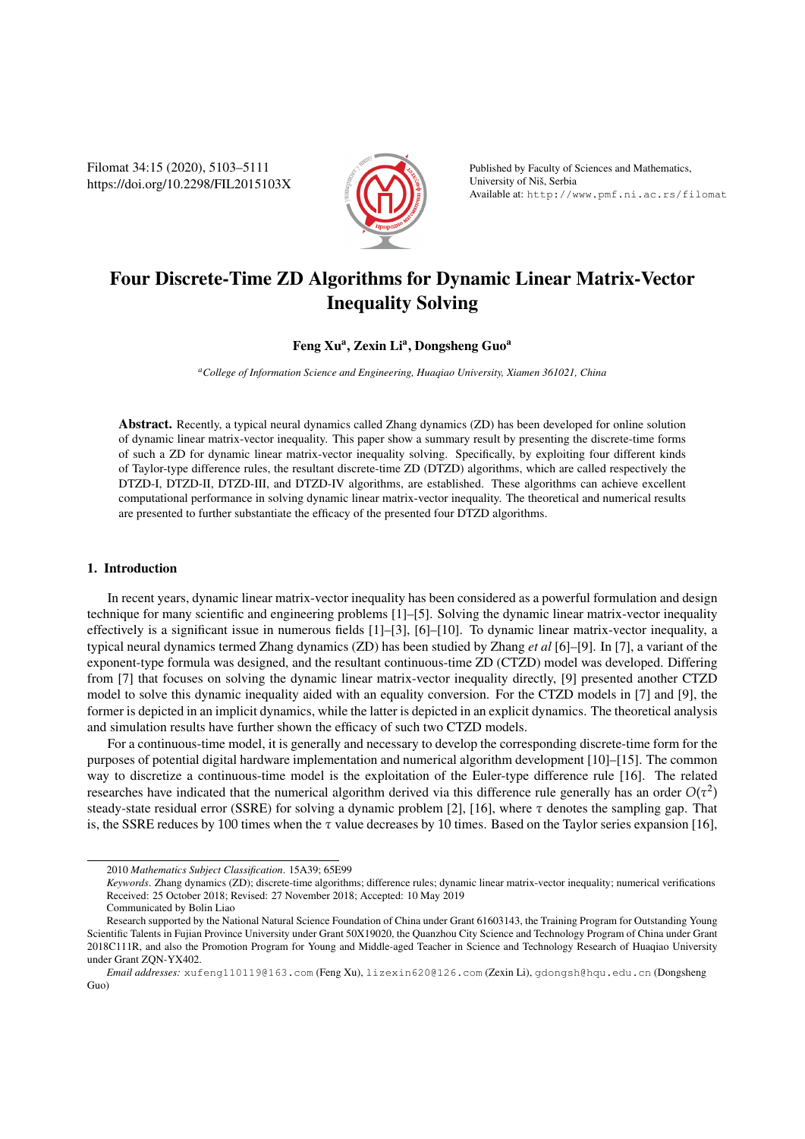Filomat 34:15 (2020), 5103–5111 https://doi.org/10.2298/FIL2015103X



Published by Faculty of Sciences and Mathematics, University of Nis, Serbia ˇ Available at: http://www.pmf.ni.ac.rs/filomat

# Four Discrete-Time ZD Algorithms for Dynamic Linear Matrix-Vector Inequality Solving

# Feng Xu<sup>a</sup>, Zexin Li<sup>a</sup>, Dongsheng Guo<sup>a</sup>

*<sup>a</sup>College of Information Science and Engineering, Huaqiao University, Xiamen 361021, China*

Abstract. Recently, a typical neural dynamics called Zhang dynamics (ZD) has been developed for online solution of dynamic linear matrix-vector inequality. This paper show a summary result by presenting the discrete-time forms of such a ZD for dynamic linear matrix-vector inequality solving. Specifically, by exploiting four different kinds of Taylor-type difference rules, the resultant discrete-time ZD (DTZD) algorithms, which are called respectively the DTZD-I, DTZD-II, DTZD-III, and DTZD-IV algorithms, are established. These algorithms can achieve excellent computational performance in solving dynamic linear matrix-vector inequality. The theoretical and numerical results are presented to further substantiate the efficacy of the presented four DTZD algorithms.

## 1. Introduction

In recent years, dynamic linear matrix-vector inequality has been considered as a powerful formulation and design technique for many scientific and engineering problems [1]–[5]. Solving the dynamic linear matrix-vector inequality effectively is a significant issue in numerous fields [1]–[3], [6]–[10]. To dynamic linear matrix-vector inequality, a typical neural dynamics termed Zhang dynamics (ZD) has been studied by Zhang *et al* [6]–[9]. In [7], a variant of the exponent-type formula was designed, and the resultant continuous-time ZD (CTZD) model was developed. Differing from [7] that focuses on solving the dynamic linear matrix-vector inequality directly, [9] presented another CTZD model to solve this dynamic inequality aided with an equality conversion. For the CTZD models in [7] and [9], the former is depicted in an implicit dynamics, while the latter is depicted in an explicit dynamics. The theoretical analysis and simulation results have further shown the efficacy of such two CTZD models.

For a continuous-time model, it is generally and necessary to develop the corresponding discrete-time form for the purposes of potential digital hardware implementation and numerical algorithm development [10]–[15]. The common way to discretize a continuous-time model is the exploitation of the Euler-type difference rule [16]. The related researches have indicated that the numerical algorithm derived via this difference rule generally has an order  $O(\tau^2)$ steady-state residual error (SSRE) for solving a dynamic problem [2], [16], where  $\tau$  denotes the sampling gap. That is, the SSRE reduces by 100 times when the  $\tau$  value decreases by 10 times. Based on the Taylor series expansion [16],

<sup>2010</sup> *Mathematics Subject Classification*. 15A39; 65E99

*Keywords*. Zhang dynamics (ZD); discrete-time algorithms; difference rules; dynamic linear matrix-vector inequality; numerical verifications Received: 25 October 2018; Revised: 27 November 2018; Accepted: 10 May 2019

Communicated by Bolin Liao

Research supported by the National Natural Science Foundation of China under Grant 61603143, the Training Program for Outstanding Young Scientific Talents in Fujian Province University under Grant 50X19020, the Quanzhou City Science and Technology Program of China under Grant 2018C111R, and also the Promotion Program for Young and Middle-aged Teacher in Science and Technology Research of Huaqiao University under Grant ZQN-YX402.

*Email addresses:* xufeng110119@163.com (Feng Xu), lizexin620@126.com (Zexin Li), gdongsh@hqu.edu.cn (Dongsheng Guo)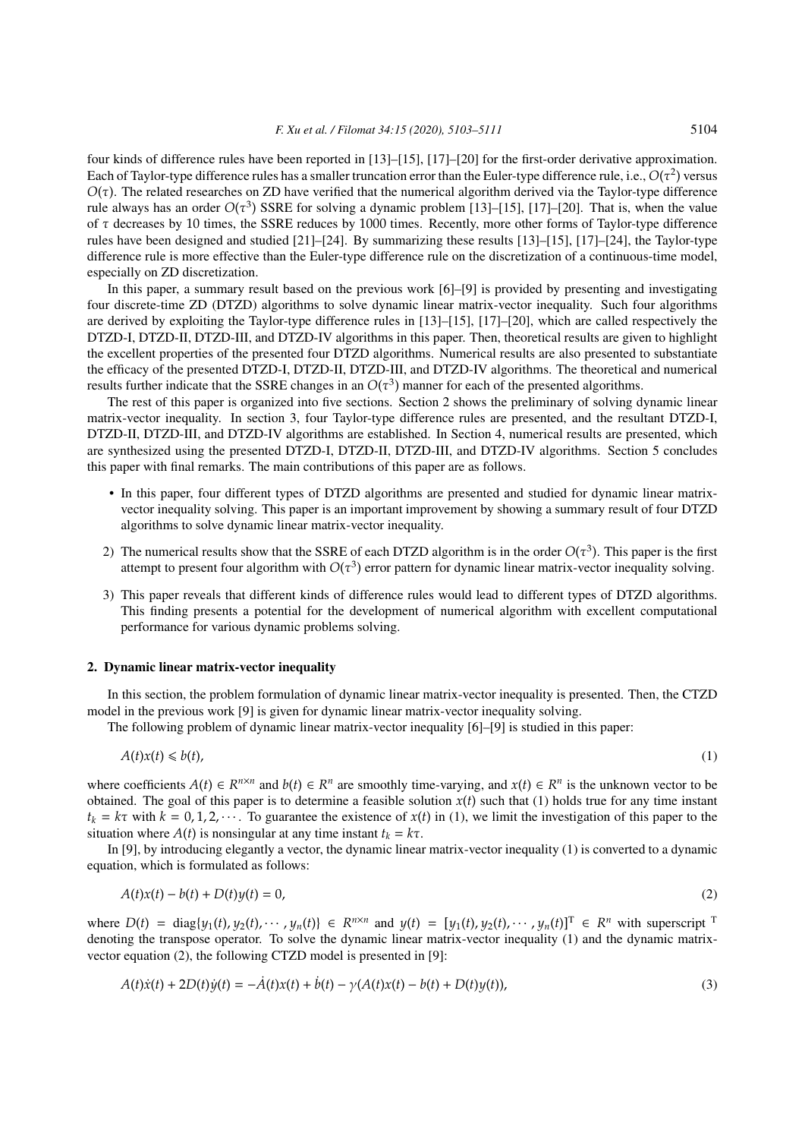four kinds of difference rules have been reported in [13]–[15], [17]–[20] for the first-order derivative approximation. Each of Taylor-type difference rules has a smaller truncation error than the Euler-type difference rule, i.e.,  $O(\tau^2)$  versus  $O(\tau)$ . The related researches on ZD have verified that the numerical algorithm derived via the Taylor-type difference rule always has an order  $O(\tau^3)$  SSRE for solving a dynamic problem [13]–[15], [17]–[20]. That is, when the value of τ decreases by 10 times, the SSRE reduces by 1000 times. Recently, more other forms of Taylor-type difference rules have been designed and studied [21]–[24]. By summarizing these results [13]–[15], [17]–[24], the Taylor-type difference rule is more effective than the Euler-type difference rule on the discretization of a continuous-time model, especially on ZD discretization.

In this paper, a summary result based on the previous work [6]–[9] is provided by presenting and investigating four discrete-time ZD (DTZD) algorithms to solve dynamic linear matrix-vector inequality. Such four algorithms are derived by exploiting the Taylor-type difference rules in [13]–[15], [17]–[20], which are called respectively the DTZD-I, DTZD-II, DTZD-III, and DTZD-IV algorithms in this paper. Then, theoretical results are given to highlight the excellent properties of the presented four DTZD algorithms. Numerical results are also presented to substantiate the efficacy of the presented DTZD-I, DTZD-II, DTZD-III, and DTZD-IV algorithms. The theoretical and numerical results further indicate that the SSRE changes in an  $O(\tau^3)$  manner for each of the presented algorithms.

The rest of this paper is organized into five sections. Section 2 shows the preliminary of solving dynamic linear matrix-vector inequality. In section 3, four Taylor-type difference rules are presented, and the resultant DTZD-I, DTZD-II, DTZD-III, and DTZD-IV algorithms are established. In Section 4, numerical results are presented, which are synthesized using the presented DTZD-I, DTZD-II, DTZD-III, and DTZD-IV algorithms. Section 5 concludes this paper with final remarks. The main contributions of this paper are as follows.

- In this paper, four different types of DTZD algorithms are presented and studied for dynamic linear matrixvector inequality solving. This paper is an important improvement by showing a summary result of four DTZD algorithms to solve dynamic linear matrix-vector inequality.
- 2) The numerical results show that the SSRE of each DTZD algorithm is in the order  $O(\tau^3)$ . This paper is the first attempt to present four algorithm with  $O(\tau^3)$  error pattern for dynamic linear matrix-vector inequality solving.
- 3) This paper reveals that different kinds of difference rules would lead to different types of DTZD algorithms. This finding presents a potential for the development of numerical algorithm with excellent computational performance for various dynamic problems solving.

#### 2. Dynamic linear matrix-vector inequality

In this section, the problem formulation of dynamic linear matrix-vector inequality is presented. Then, the CTZD model in the previous work [9] is given for dynamic linear matrix-vector inequality solving.

The following problem of dynamic linear matrix-vector inequality [6]–[9] is studied in this paper:

$$
A(t)x(t) \leqslant b(t),\tag{1}
$$

where coefficients  $A(t) \in R^{n \times n}$  and  $b(t) \in R^n$  are smoothly time-varying, and  $x(t) \in R^n$  is the unknown vector to be obtained. The goal of this paper is to determine a feasible solution  $x(t)$  such that (1) holds true for any time instant  $t_k = k\tau$  with  $k = 0, 1, 2, \cdots$ . To guarantee the existence of  $x(t)$  in (1), we limit the investigation of this paper to the situation where  $A(t)$  is nonsingular at any time instant  $t_k = k\tau$ .

In [9], by introducing elegantly a vector, the dynamic linear matrix-vector inequality (1) is converted to a dynamic equation, which is formulated as follows:

$$
A(t)x(t) - b(t) + D(t)y(t) = 0,
$$
\n(2)

where  $D(t) = \text{diag}\{y_1(t), y_2(t), \cdots, y_n(t)\} \in R^{n \times n}$  and  $y(t) = [y_1(t), y_2(t), \cdots, y_n(t)]^T \in R^n$  with superscript <sup>1</sup> denoting the transpose operator. To solve the dynamic linear matrix-vector inequality (1) and the dynamic matrixvector equation (2), the following CTZD model is presented in [9]:

$$
A(t)\dot{x}(t) + 2D(t)\dot{y}(t) = -\dot{A}(t)x(t) + \dot{b}(t) - \gamma(A(t)x(t) - b(t) + D(t)y(t)),
$$
\n(3)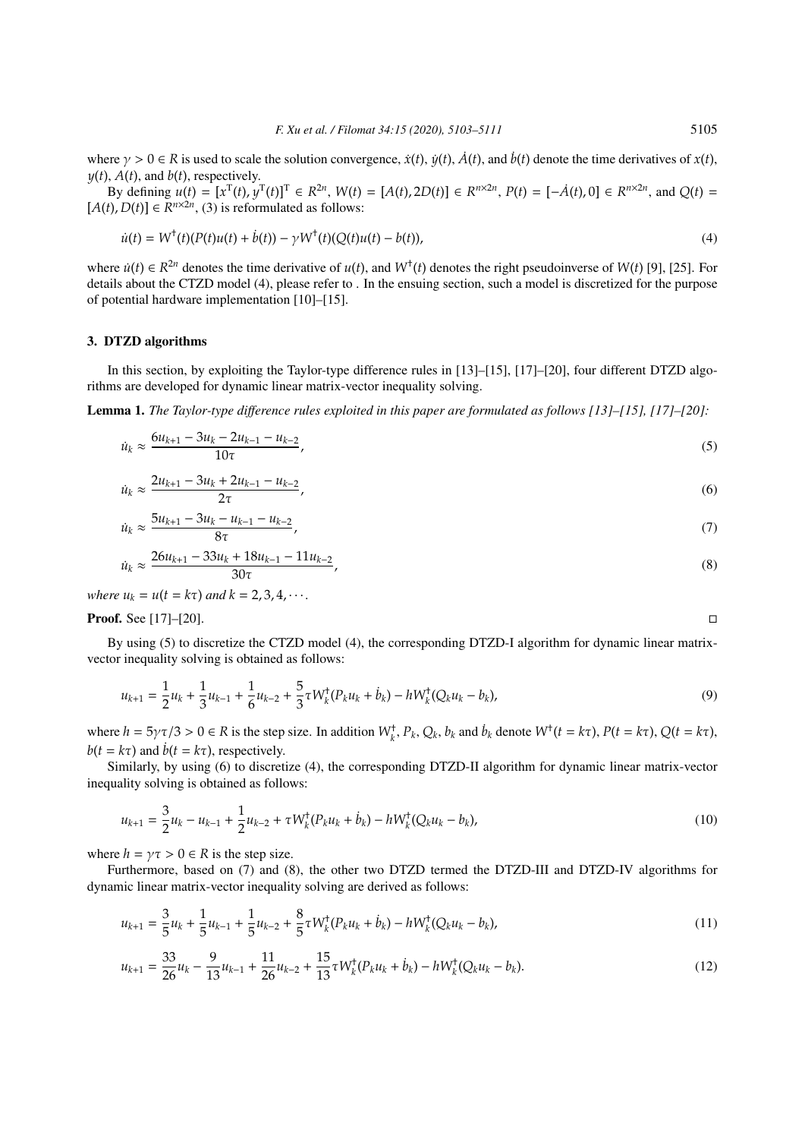where  $\gamma > 0 \in \mathbb{R}$  is used to scale the solution convergence,  $\dot{x}(t)$ ,  $\dot{y}(t)$ ,  $\dot{A}(t)$ , and  $\dot{b}(t)$  denote the time derivatives of  $x(t)$ .  $y(t)$ ,  $A(t)$ , and  $b(t)$ , respectively.

By defining  $u(t) = [x^T(t), y^T(t)]^T \in R^{2n}$ ,  $W(t) = [A(t), 2D(t)] \in R^{n \times 2n}$ ,  $P(t) = [-A(t), 0] \in R^{n \times 2n}$ , and  $Q(t) =$  $[A(t), D(t)] \in R^{n \times 2n}$ , (3) is reformulated as follows:

$$
\dot{u}(t) = W^{\dagger}(t)(P(t)u(t) + \dot{b}(t)) - \gamma W^{\dagger}(t)(Q(t)u(t) - b(t)), \tag{4}
$$

where  $\dot{u}(t) \in R^{2n}$  denotes the time derivative of  $u(t)$ , and  $W^+(t)$  denotes the right pseudoinverse of  $W(t)$  [9], [25]. For details about the CTZD model (4), please refer to . In the ensuing section, such a model is discretized for the purpose of potential hardware implementation [10]–[15].

## 3. DTZD algorithms

In this section, by exploiting the Taylor-type difference rules in [13]–[15], [17]–[20], four different DTZD algorithms are developed for dynamic linear matrix-vector inequality solving.

Lemma 1. *The Taylor-type difference rules exploited in this paper are formulated as follows [13]–[15], [17]–[20]:*

$$
\dot{u}_k \approx \frac{6u_{k+1} - 3u_k - 2u_{k-1} - u_{k-2}}{10\tau},\tag{5}
$$

$$
\dot{u}_k \approx \frac{2u_{k+1} - 3u_k + 2u_{k-1} - u_{k-2}}{2\tau},\tag{6}
$$

$$
\dot{u}_k \approx \frac{5u_{k+1} - 3u_k - u_{k-1} - u_{k-2}}{8\tau},\tag{7}
$$

$$
\dot{u}_k \approx \frac{26u_{k+1} - 33u_k + 18u_{k-1} - 11u_{k-2}}{30\tau},\tag{8}
$$

*where*  $u_k = u(t = k\tau)$  *and*  $k = 2, 3, 4, \cdots$ .

**Proof.** See [17]–[20]. □

By using (5) to discretize the CTZD model (4), the corresponding DTZD-I algorithm for dynamic linear matrixvector inequality solving is obtained as follows:

$$
u_{k+1} = \frac{1}{2}u_k + \frac{1}{3}u_{k-1} + \frac{1}{6}u_{k-2} + \frac{5}{3}\tau W_k^{\dagger}(P_k u_k + \dot{b}_k) - hW_k^{\dagger}(Q_k u_k - b_k),
$$
\n(9)

where  $h = 5\gamma\tau/3 > 0 \in R$  is the step size. In addition  $W_k^{\dagger}$ ,  $P_k$ ,  $Q_k$ ,  $b_k$  and  $\dot{b}_k$  denote  $W^{\dagger}(t = k\tau)$ ,  $P(t = k\tau)$ ,  $Q(t = k\tau)$ ,  $b(t = k\tau)$  and  $\dot{b}(t = k\tau)$ , respectively.

Similarly, by using (6) to discretize (4), the corresponding DTZD-II algorithm for dynamic linear matrix-vector inequality solving is obtained as follows:

$$
u_{k+1} = \frac{3}{2}u_k - u_{k-1} + \frac{1}{2}u_{k-2} + \tau W_k^{\dagger}(P_k u_k + \dot{b}_k) - h W_k^{\dagger}(Q_k u_k - b_k),
$$
\n(10)

where  $h = \gamma \tau > 0 \in R$  is the step size.

Furthermore, based on (7) and (8), the other two DTZD termed the DTZD-III and DTZD-IV algorithms for dynamic linear matrix-vector inequality solving are derived as follows:

$$
u_{k+1} = \frac{3}{5}u_k + \frac{1}{5}u_{k-1} + \frac{1}{5}u_{k-2} + \frac{8}{5}\tau W_k^{\dagger}(P_k u_k + \dot{b}_k) - hW_k^{\dagger}(Q_k u_k - b_k),
$$
\n(11)

$$
u_{k+1} = \frac{33}{26}u_k - \frac{9}{13}u_{k-1} + \frac{11}{26}u_{k-2} + \frac{15}{13}\tau W_k^{\dagger}(P_k u_k + \dot{b}_k) - hW_k^{\dagger}(Q_k u_k - b_k). \tag{12}
$$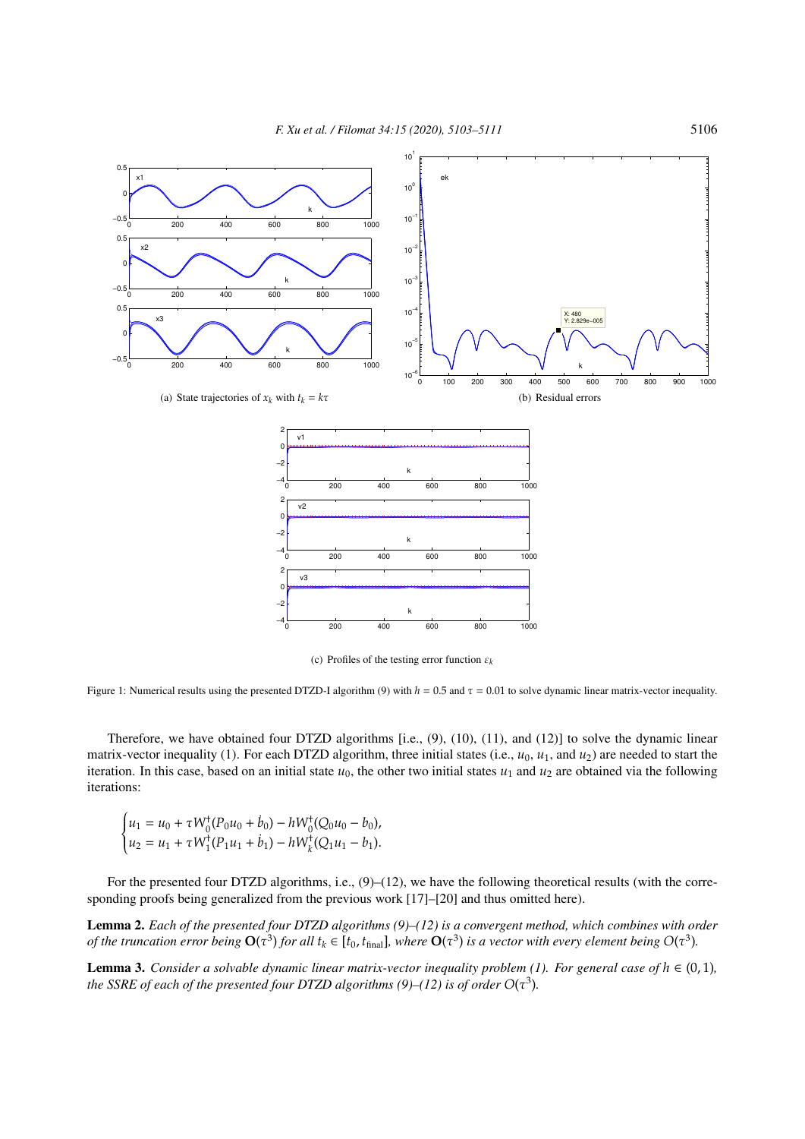

(c) Profiles of the testing error function ε*<sup>k</sup>*

Figure 1: Numerical results using the presented DTZD-I algorithm (9) with  $h = 0.5$  and  $\tau = 0.01$  to solve dynamic linear matrix-vector inequality.

Therefore, we have obtained four DTZD algorithms [i.e., (9), (10), (11), and (12)] to solve the dynamic linear matrix-vector inequality (1). For each DTZD algorithm, three initial states (i.e.,  $u_0$ ,  $u_1$ , and  $u_2$ ) are needed to start the iteration. In this case, based on an initial state  $u_0$ , the other two initial states  $u_1$  and  $u_2$  are obtained via the following iterations:

$$
\begin{cases} u_1 = u_0 + \tau W_0^{\dagger}(P_0 u_0 + \dot{b}_0) - h W_0^{\dagger}(Q_0 u_0 - b_0), \\ u_2 = u_1 + \tau W_1^{\dagger}(P_1 u_1 + \dot{b}_1) - h W_k^{\dagger}(Q_1 u_1 - b_1). \end{cases}
$$

For the presented four DTZD algorithms, i.e.,  $(9)$ – $(12)$ , we have the following theoretical results (with the corresponding proofs being generalized from the previous work [17]–[20] and thus omitted here).

Lemma 2. *Each of the presented four DTZD algorithms (9)–(12) is a convergent method, which combines with order of the truncation error being*  $O(\tau^3)$  *for all*  $t_k \in [t_0, t_{final}]$ *, where*  $O(\tau^3)$  *is a vector with every element being*  $O(\tau^3)$ *.* 

**Lemma 3.** *Consider a solvable dynamic linear matrix-vector inequality problem (1). For general case of*  $h \in (0,1)$ *,* the SSRE of each of the presented four DTZD algorithms (9)–(12) is of order  $O(\tau^3)$ .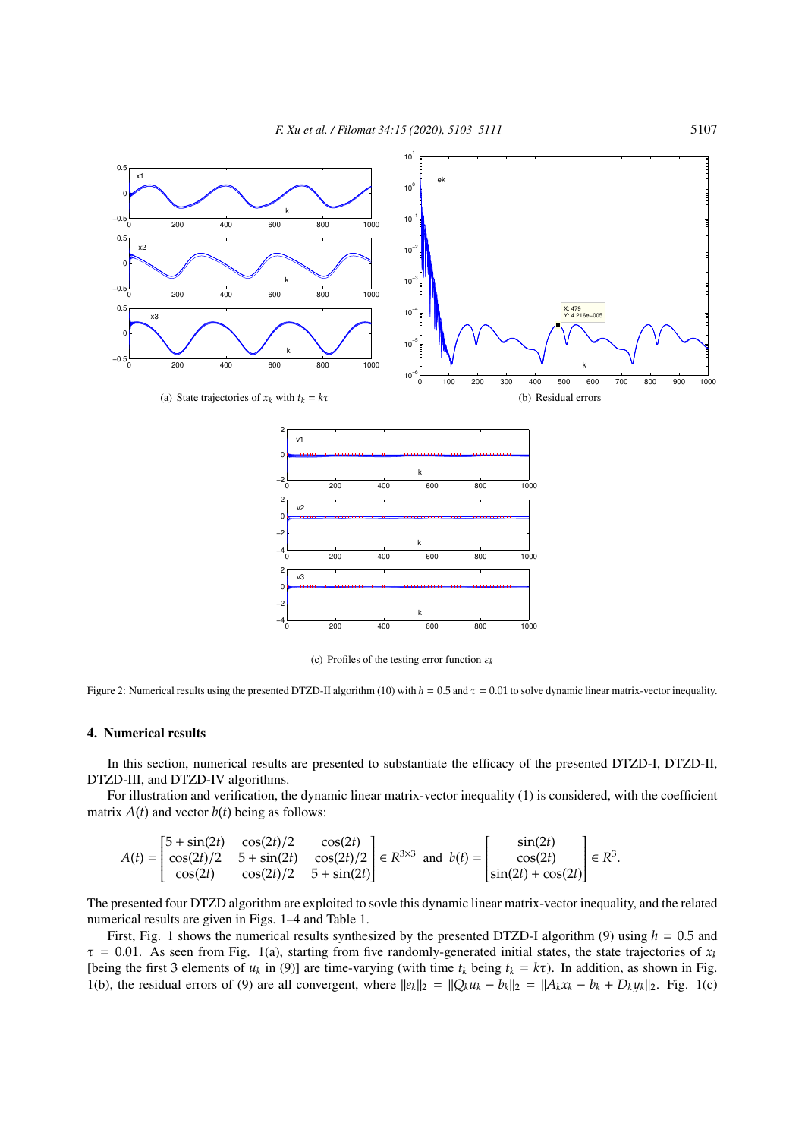

(c) Profiles of the testing error function ε*<sup>k</sup>*

Figure 2: Numerical results using the presented DTZD-II algorithm (10) with  $h = 0.5$  and  $\tau = 0.01$  to solve dynamic linear matrix-vector inequality.

# 4. Numerical results

In this section, numerical results are presented to substantiate the efficacy of the presented DTZD-I, DTZD-II, DTZD-III, and DTZD-IV algorithms.

For illustration and verification, the dynamic linear matrix-vector inequality (1) is considered, with the coefficient matrix  $A(t)$  and vector  $b(t)$  being as follows:

$$
A(t) = \begin{bmatrix} 5 + \sin(2t) & \cos(2t)/2 & \cos(2t) \\ \cos(2t)/2 & 5 + \sin(2t) & \cos(2t)/2 \\ \cos(2t) & \cos(2t)/2 & 5 + \sin(2t) \end{bmatrix} \in R^{3 \times 3} \text{ and } b(t) = \begin{bmatrix} \sin(2t) \\ \cos(2t) \\ \sin(2t) + \cos(2t) \end{bmatrix} \in R^{3}.
$$

The presented four DTZD algorithm are exploited to sovle this dynamic linear matrix-vector inequality, and the related numerical results are given in Figs. 1–4 and Table 1.

First, Fig. 1 shows the numerical results synthesized by the presented DTZD-I algorithm (9) using *h* = 0.5 and  $\tau = 0.01$ . As seen from Fig. 1(a), starting from five randomly-generated initial states, the state trajectories of  $x_k$ [being the first 3 elements of  $u_k$  in (9)] are time-varying (with time  $t_k$  being  $t_k = k\tau$ ). In addition, as shown in Fig. 1(b), the residual errors of (9) are all convergent, where  $||e_k||_2 = ||Q_k u_k - b_k||_2 = ||A_k x_k - b_k + D_k y_k||_2$ . Fig. 1(c)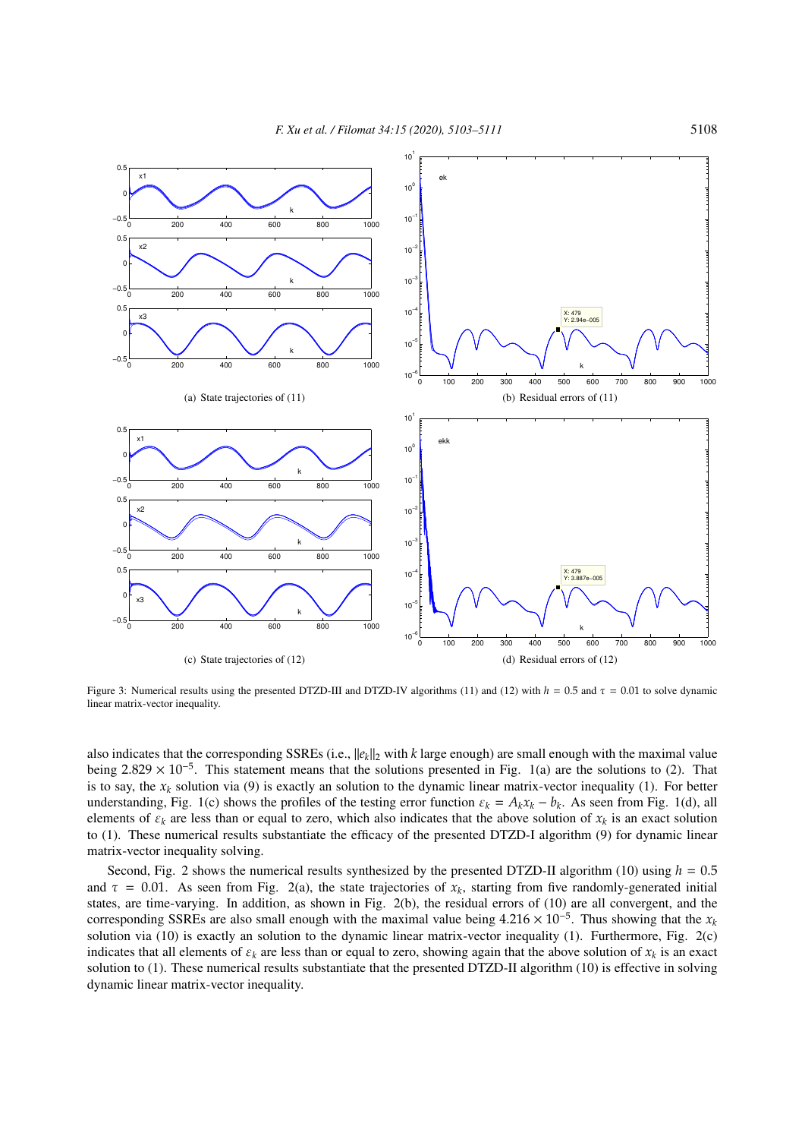

Figure 3: Numerical results using the presented DTZD-III and DTZD-IV algorithms (11) and (12) with *h* = 0.5 and τ = 0.01 to solve dynamic linear matrix-vector inequality.

also indicates that the corresponding SSREs (i.e.,  $||e_k||_2$  with *k* large enough) are small enough with the maximal value being 2.829 × 10<sup>-5</sup>. This statement means that the solutions presented in Fig. 1(a) are the solutions to (2). That is to say, the  $x_k$  solution via (9) is exactly an solution to the dynamic linear matrix-vector inequality (1). For better understanding, Fig. 1(c) shows the profiles of the testing error function  $\varepsilon_k = A_k x_k - b_k$ . As seen from Fig. 1(d), all elements of  $\varepsilon_k$  are less than or equal to zero, which also indicates that the above solution of  $x_k$  is an exact solution to (1). These numerical results substantiate the efficacy of the presented DTZD-I algorithm (9) for dynamic linear matrix-vector inequality solving.

Second, Fig. 2 shows the numerical results synthesized by the presented DTZD-II algorithm (10) using  $h = 0.5$ and  $\tau = 0.01$ . As seen from Fig. 2(a), the state trajectories of  $x_k$ , starting from five randomly-generated initial states, are time-varying. In addition, as shown in Fig. 2(b), the residual errors of (10) are all convergent, and the corresponding SSREs are also small enough with the maximal value being  $4.216 \times 10^{-5}$ . Thus showing that the  $x_k$ solution via (10) is exactly an solution to the dynamic linear matrix-vector inequality (1). Furthermore, Fig. 2(c) indicates that all elements of  $\varepsilon_k$  are less than or equal to zero, showing again that the above solution of  $x_k$  is an exact solution to (1). These numerical results substantiate that the presented DTZD-II algorithm (10) is effective in solving dynamic linear matrix-vector inequality.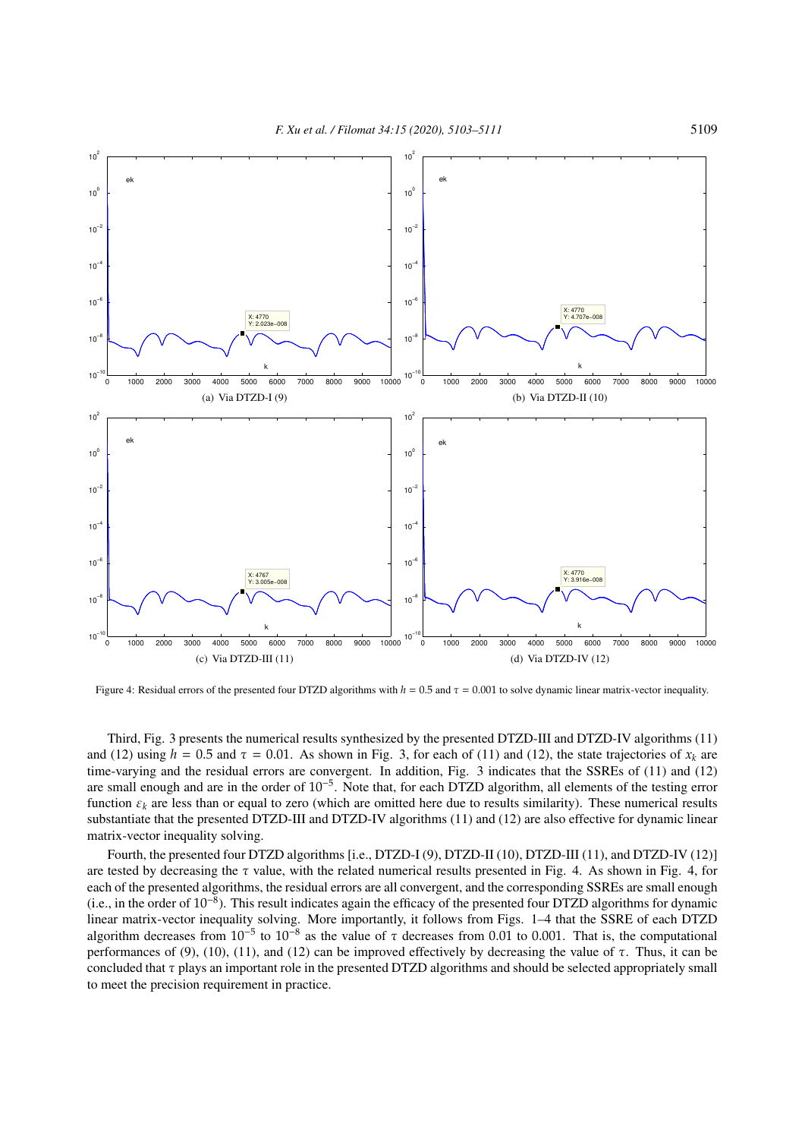

Figure 4: Residual errors of the presented four DTZD algorithms with *h* = 0.5 and τ = 0.001 to solve dynamic linear matrix-vector inequality.

Third, Fig. 3 presents the numerical results synthesized by the presented DTZD-III and DTZD-IV algorithms (11) and (12) using  $h = 0.5$  and  $\tau = 0.01$ . As shown in Fig. 3, for each of (11) and (12), the state trajectories of  $x_k$  are time-varying and the residual errors are convergent. In addition, Fig. 3 indicates that the SSREs of (11) and (12) are small enough and are in the order of 10<sup>−</sup><sup>5</sup> . Note that, for each DTZD algorithm, all elements of the testing error function  $\varepsilon_k$  are less than or equal to zero (which are omitted here due to results similarity). These numerical results substantiate that the presented DTZD-III and DTZD-IV algorithms (11) and (12) are also effective for dynamic linear matrix-vector inequality solving.

Fourth, the presented four DTZD algorithms [i.e., DTZD-I (9), DTZD-II (10), DTZD-III (11), and DTZD-IV (12)] are tested by decreasing the  $\tau$  value, with the related numerical results presented in Fig. 4. As shown in Fig. 4, for each of the presented algorithms, the residual errors are all convergent, and the corresponding SSREs are small enough (i.e., in the order of 10<sup>−</sup><sup>8</sup> ). This result indicates again the efficacy of the presented four DTZD algorithms for dynamic linear matrix-vector inequality solving. More importantly, it follows from Figs. 1–4 that the SSRE of each DTZD algorithm decreases from  $10^{-5}$  to  $10^{-8}$  as the value of  $\tau$  decreases from 0.01 to 0.001. That is, the computational performances of (9), (10), (11), and (12) can be improved effectively by decreasing the value of  $\tau$ . Thus, it can be concluded that  $\tau$  plays an important role in the presented DTZD algorithms and should be selected appropriately small to meet the precision requirement in practice.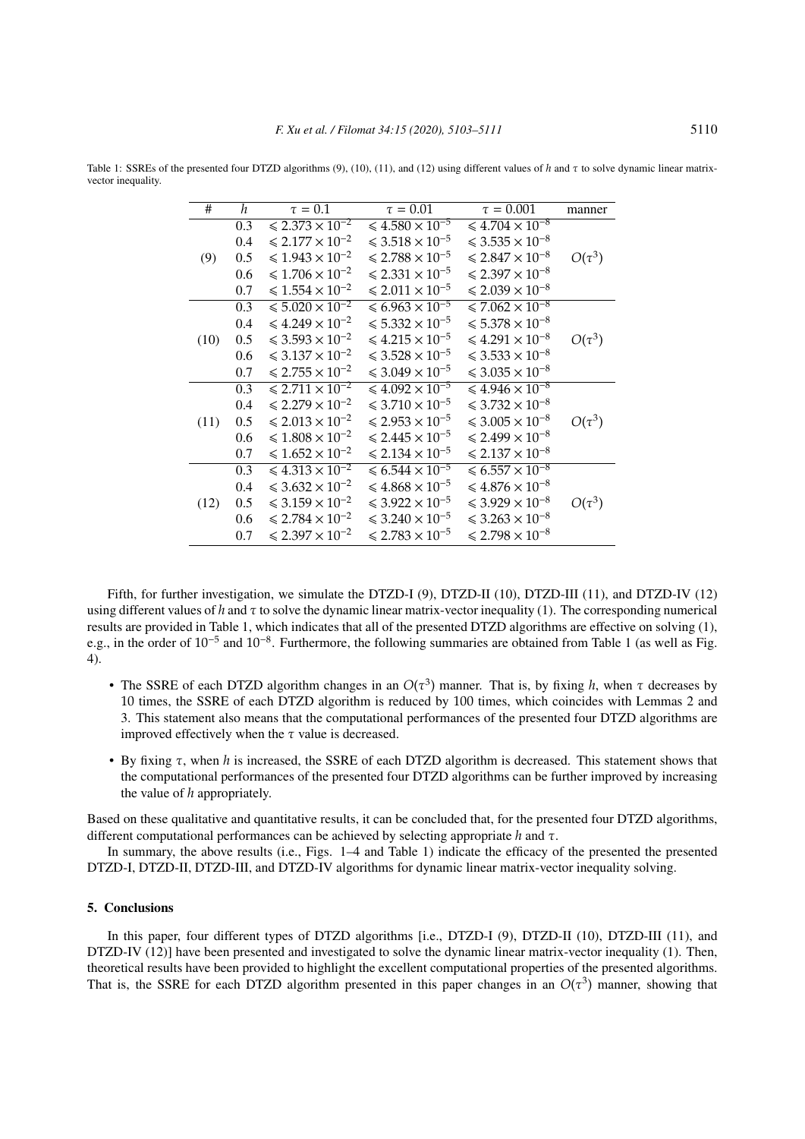| #    | h                | $\tau=0.1$                                  | $\tau=0.01$                                 | $\tau = 0.001$                              | manner      |
|------|------------------|---------------------------------------------|---------------------------------------------|---------------------------------------------|-------------|
| (9)  | 0.3              | $\leqslant$ 2.373 $\times$ 10 <sup>-2</sup> | $\leqslant$ 4.580 $\times$ 10 <sup>-5</sup> | $\leqslant$ 4.704 $\times$ 10 <sup>-8</sup> |             |
|      | 0.4              | $\leq 2.177 \times 10^{-2}$                 | $\leq 3.518 \times 10^{-5}$                 | $\leq 3.535 \times 10^{-8}$                 |             |
|      | 0.5              | $\leq 1.943 \times 10^{-2}$                 | $\le 2.788 \times 10^{-5}$                  | $\leq 2.847 \times 10^{-8}$                 | $O(\tau^3)$ |
|      | 0.6              | $\leq 1.706 \times 10^{-2}$                 | $\le 2.331 \times 10^{-5}$                  | $\leqslant$ 2.397 $\times$ 10 <sup>-8</sup> |             |
|      | 0.7              | $\leq 1.554 \times 10^{-2}$                 | $\leq 2.011 \times 10^{-5}$                 | $\leq 2.039 \times 10^{-8}$                 |             |
| (10) | $\overline{0.3}$ | $\leqslant$ 5.020 $\times$ 10 <sup>-2</sup> | $\leq 6.963 \times 10^{-5}$                 | $\leq 7.062 \times 10^{-8}$                 |             |
|      | 0.4              | $\leq 4.249 \times 10^{-2}$                 | $\leq 5.332 \times 10^{-5}$                 | $\leq 5.378 \times 10^{-8}$                 |             |
|      | 0.5              | $\leq 3.593 \times 10^{-2}$                 | $\leq 4.215 \times 10^{-5}$                 | $\leq 4.291 \times 10^{-8}$                 | $O(\tau^3)$ |
|      | 0.6              | $\leq 3.137 \times 10^{-2}$                 | $\leq 3.528 \times 10^{-5}$                 | $\leq 3.533 \times 10^{-8}$                 |             |
|      | 0.7              | $\leq 2.755 \times 10^{-2}$                 | $\leq 3.049 \times 10^{-5}$                 | $\leq 3.035 \times 10^{-8}$                 |             |
| (11) | 0.3              | $\leqslant$ 2.711 $\times$ 10 <sup>-2</sup> | $\leq 4.092 \times 10^{-5}$                 | $\leq 4.946 \times 10^{-8}$                 |             |
|      | 0.4              | $\leq 2.279 \times 10^{-2}$                 | $\leq 3.710 \times 10^{-5}$                 | $\leq 3.732 \times 10^{-8}$                 |             |
|      | 0.5              | $\leq 2.013 \times 10^{-2}$                 | $\le 2.953 \times 10^{-5}$                  | $\leq 3.005 \times 10^{-8}$                 | $O(\tau^3)$ |
|      | 0.6              | $\leq 1.808 \times 10^{-2}$                 | $\le 2.445 \times 10^{-5}$                  | $\leq 2.499 \times 10^{-8}$                 |             |
|      | 0.7              | $\leq 1.652 \times 10^{-2}$                 | $\le 2.134 \times 10^{-5}$                  | $\leqslant$ 2.137 $\times$ 10 <sup>-8</sup> |             |
| (12) | 0.3              | $\leqslant$ 4.313 $\times$ 10 <sup>-2</sup> | $\leqslant 6.544 \times 10^{-5}$            | $\leqslant 6.557 \times 10^{-8}$            |             |
|      | 0.4              | $\leq 3.632 \times 10^{-2}$                 | $\leq 4.868 \times 10^{-5}$                 | $\leq 4.876 \times 10^{-8}$                 |             |
|      | 0.5              | $\leq 3.159 \times 10^{-2}$                 | $\leq 3.922 \times 10^{-5}$                 | $\leq 3.929 \times 10^{-8}$                 | $O(\tau^3)$ |
|      | 0.6              | $\leq 2.784 \times 10^{-2}$                 | $\leq 3.240 \times 10^{-5}$                 | $\leq 3.263 \times 10^{-8}$                 |             |
|      | 0.7              | $\leqslant$ 2.397 $\times$ 10 <sup>-2</sup> | $\le 2.783 \times 10^{-5}$                  | $\leq 2.798 \times 10^{-8}$                 |             |

Table 1: SSREs of the presented four DTZD algorithms (9), (10), (11), and (12) using different values of *h* and τ to solve dynamic linear matrixvector inequality.

Fifth, for further investigation, we simulate the DTZD-I (9), DTZD-II (10), DTZD-III (11), and DTZD-IV (12) using different values of *h* and τ to solve the dynamic linear matrix-vector inequality (1). The corresponding numerical results are provided in Table 1, which indicates that all of the presented DTZD algorithms are effective on solving (1), e.g., in the order of 10<sup>-5</sup> and 10<sup>-8</sup>. Furthermore, the following summaries are obtained from Table 1 (as well as Fig. 4).

- The SSRE of each DTZD algorithm changes in an  $O(\tau^3)$  manner. That is, by fixing *h*, when  $\tau$  decreases by 10 times, the SSRE of each DTZD algorithm is reduced by 100 times, which coincides with Lemmas 2 and 3. This statement also means that the computational performances of the presented four DTZD algorithms are improved effectively when the  $\tau$  value is decreased.
- By fixing τ, when *h* is increased, the SSRE of each DTZD algorithm is decreased. This statement shows that the computational performances of the presented four DTZD algorithms can be further improved by increasing the value of *h* appropriately.

Based on these qualitative and quantitative results, it can be concluded that, for the presented four DTZD algorithms, different computational performances can be achieved by selecting appropriate *h* and τ.

In summary, the above results (i.e., Figs. 1–4 and Table 1) indicate the efficacy of the presented the presented DTZD-I, DTZD-II, DTZD-III, and DTZD-IV algorithms for dynamic linear matrix-vector inequality solving.

## 5. Conclusions

In this paper, four different types of DTZD algorithms [i.e., DTZD-I (9), DTZD-II (10), DTZD-III (11), and DTZD-IV (12)] have been presented and investigated to solve the dynamic linear matrix-vector inequality (1). Then, theoretical results have been provided to highlight the excellent computational properties of the presented algorithms. That is, the SSRE for each DTZD algorithm presented in this paper changes in an  $O(\tau^3)$  manner, showing that